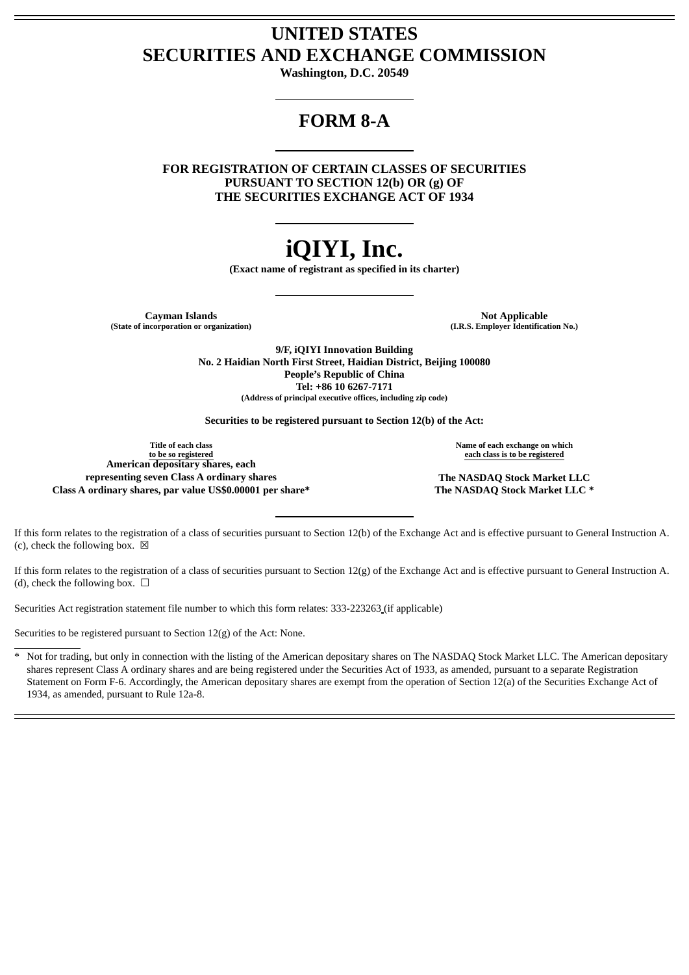# **UNITED STATES SECURITIES AND EXCHANGE COMMISSION**

**Washington, D.C. 20549**

# **FORM 8-A**

**FOR REGISTRATION OF CERTAIN CLASSES OF SECURITIES PURSUANT TO SECTION 12(b) OR (g) OF THE SECURITIES EXCHANGE ACT OF 1934**

# **iQIYI, Inc.**

**(Exact name of registrant as specified in its charter)**

**(State of incorporation or organization) (I.R.S. Employer Identification No.)**

**Cayman Islands**<br>
incorporation or organization) **Applicable**<br>
(I.R.S. Employer Identification No.)

**9/F, iQIYI Innovation Building No. 2 Haidian North First Street, Haidian District, Beijing 100080 People's Republic of China Tel: +86 10 6267-7171 (Address of principal executive offices, including zip code)**

**Securities to be registered pursuant to Section 12(b) of the Act:**

**Title of each class to be so registered American depositary shares, each representing seven Class A ordinary shares The NASDAQ Stock Market LLC Class A ordinary shares, par value US\$0.00001 per share\* The NASDAQ Stock Market LLC \***

**Name of each exchange on which each class is to be registered**

If this form relates to the registration of a class of securities pursuant to Section 12(b) of the Exchange Act and is effective pursuant to General Instruction A. (c), check the following box.  $\boxtimes$ 

If this form relates to the registration of a class of securities pursuant to Section 12(g) of the Exchange Act and is effective pursuant to General Instruction A. (d), check the following box.  $\Box$ 

Securities Act registration statement file number to which this form relates: 333-223263 (if applicable)

Securities to be registered pursuant to Section 12(g) of the Act: None.

Not for trading, but only in connection with the listing of the American depositary shares on The NASDAQ Stock Market LLC. The American depositary shares represent Class A ordinary shares and are being registered under the Securities Act of 1933, as amended, pursuant to a separate Registration Statement on Form F-6. Accordingly, the American depositary shares are exempt from the operation of Section 12(a) of the Securities Exchange Act of 1934, as amended, pursuant to Rule 12a-8.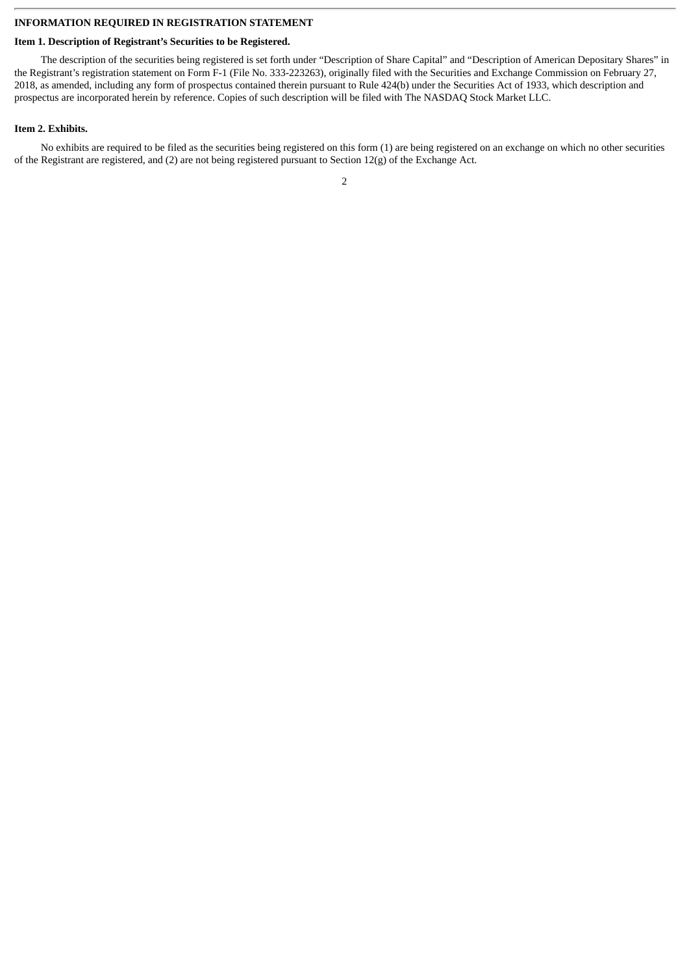#### **INFORMATION REQUIRED IN REGISTRATION STATEMENT**

### **Item 1. Description of Registrant's Securities to be Registered.**

The description of the securities being registered is set forth under "Description of Share Capital" and "Description of American Depositary Shares" in the Registrant's registration statement on Form F-1 (File No. 333-223263), originally filed with the Securities and Exchange Commission on February 27, 2018, as amended, including any form of prospectus contained therein pursuant to Rule 424(b) under the Securities Act of 1933, which description and prospectus are incorporated herein by reference. Copies of such description will be filed with The NASDAQ Stock Market LLC.

## **Item 2. Exhibits.**

No exhibits are required to be filed as the securities being registered on this form (1) are being registered on an exchange on which no other securities of the Registrant are registered, and (2) are not being registered pursuant to Section 12(g) of the Exchange Act.